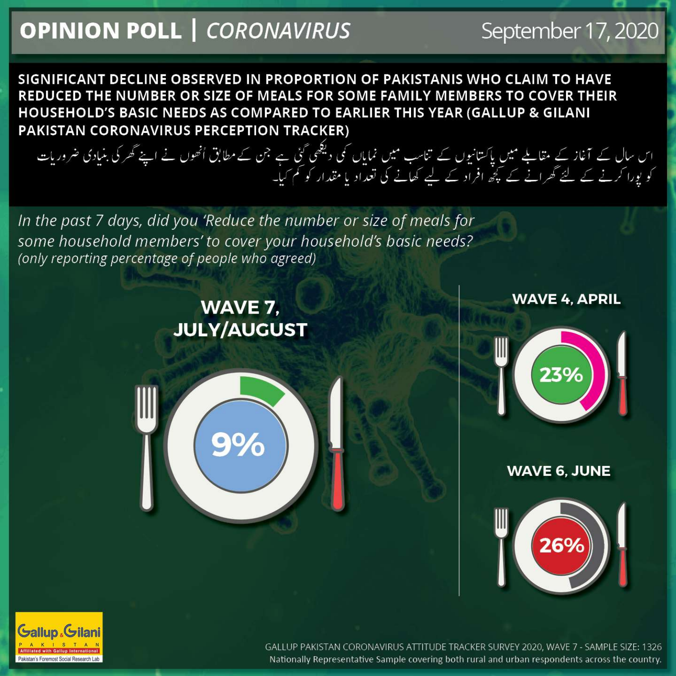## **OPINION POLL | CORONAVIRUS**

## September 17, 2020

SIGNIFICANT DECLINE OBSERVED IN PROPORTION OF PAKISTANIS WHO CLAIM TO HAVE REDUCED THE NUMBER OR SIZE OF MEALS FOR SOME FAMILY MEMBERS TO COVER THEIR HOUSEHOLD'S BASIC NEEDS AS COMPARED TO EARLIER THIS YEAR (GALLUP & GILANI PAKISTAN CORONAVIRUS PERCEPTION TRACKER)

اس سال کے آغاز کے مقابلے میں پاکستانیوں کے تناسب میں نمایاں کی دیکھی گئی ہے جن کے مطابق انھوں نے اپنے گھر کی بنیادی ضروریات<br>کو پورا کرنے کے لئے گھرانے کے کچھ افراد کے لیے کھانے کی تعداد یا مقدار کو کم کیا۔

In the past 7 days, did you 'Reduce the number or size of meals for some household members' to cover your household's basic needs? (only reporting percentage of people who agreed)

> WAVE 7, **JULY/AUGUST**



**WAVE 4, APRIL** 



**WAVE 6, JUNE** 





GALLUP PAKISTAN CORONAVIRUS ATTITUDE TRACKER SURVEY 2020, WAVE 7 - SAMPLE SIZE: 1326 Nationally Representative Sample covering both rural and urban respondents across the country.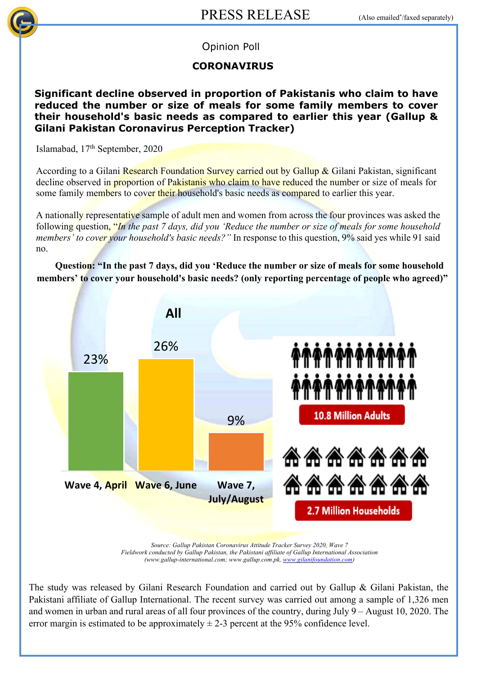

Opinion Poll

## **CORONAVIRUS**

**Significant decline observed in proportion of Pakistanis who claim to have reduced the number or size of meals for some family members to cover their household's basic needs as compared to earlier this year (Gallup & Gilani Pakistan Coronavirus Perception Tracker)**

Islamabad, 17th September, 2020

According to a Gilani Research Foundation Survey carried out by Gallup & Gilani Pakistan, significant decline observed in proportion of Pakistanis who claim to have reduced the number or size of meals for some family members to cover their household's basic needs as compared to earlier this year.

A nationally representative sample of adult men and women from across the four provinces was asked the following question, "*In the past 7 days, did you 'Reduce the number or size of meals for some household members' to cover your household's basic needs?"* In response to this question, 9% said yes while 91 said no.

**Question: "In the past 7 days, did you 'Reduce the number or size of meals for some household members' to cover your household's basic needs? (only reporting percentage of people who agreed)"** 



*Source: Gallup Pakistan Coronavirus Attitude Tracker Survey 2020, Wave 7 Fieldwork conducted by Gallup Pakistan, the Pakistani affiliate of Gallup International Association (www.gallup-international.com; www.gallup.com.pk, www.gilanifoundation.com)*

The study was released by Gilani Research Foundation and carried out by Gallup & Gilani Pakistan, the Pakistani affiliate of Gallup International. The recent survey was carried out among a sample of 1,326 men and women in urban and rural areas of all four provinces of the country, during July 9 – August 10, 2020. The error margin is estimated to be approximately  $\pm$  2-3 percent at the 95% confidence level.